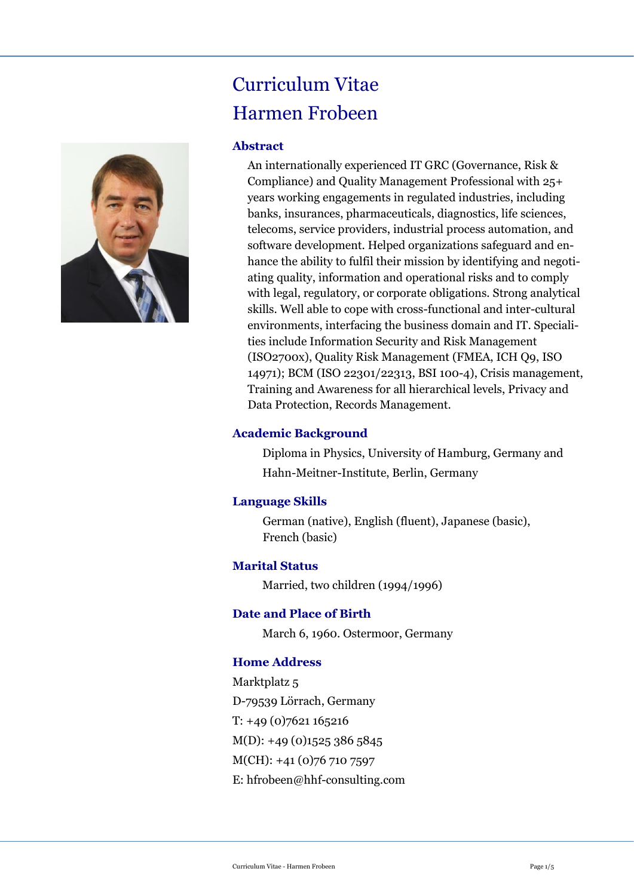# Curriculum Vitae Harmen Frobeen

#### **Abstract**

An internationally experienced IT GRC (Governance, Risk & Compliance) and Quality Management Professional with 25+ years working engagements in regulated industries, including banks, insurances, pharmaceuticals, diagnostics, life sciences, telecoms, service providers, industrial process automation, and software development. Helped organizations safeguard and enhance the ability to fulfil their mission by identifying and negotiating quality, information and operational risks and to comply with legal, regulatory, or corporate obligations. Strong analytical skills. Well able to cope with cross-functional and inter-cultural environments, interfacing the business domain and IT. Specialities include Information Security and Risk Management (ISO2700x), Quality Risk Management (FMEA, ICH Q9, ISO 14971); BCM (ISO 22301/22313, BSI 100-4), Crisis management, Training and Awareness for all hierarchical levels, Privacy and Data Protection, Records Management.

#### **Academic Background**

Diploma in Physics, University of Hamburg, Germany and Hahn-Meitner-Institute, Berlin, Germany

#### **Language Skills**

German (native), English (fluent), Japanese (basic), French (basic)

#### **Marital Status**

Married, two children (1994/1996)

#### **Date and Place of Birth**

March 6, 1960. Ostermoor, Germany

#### **Home Address**

Marktplatz<sub>5</sub> D-79539 Lörrach, Germany T: +49 (0)7621 165216  $M(D): +49(0)15253865845$ M(CH): +41 (0)76 710 7597 E: hfrobeen@hhf-consulting.com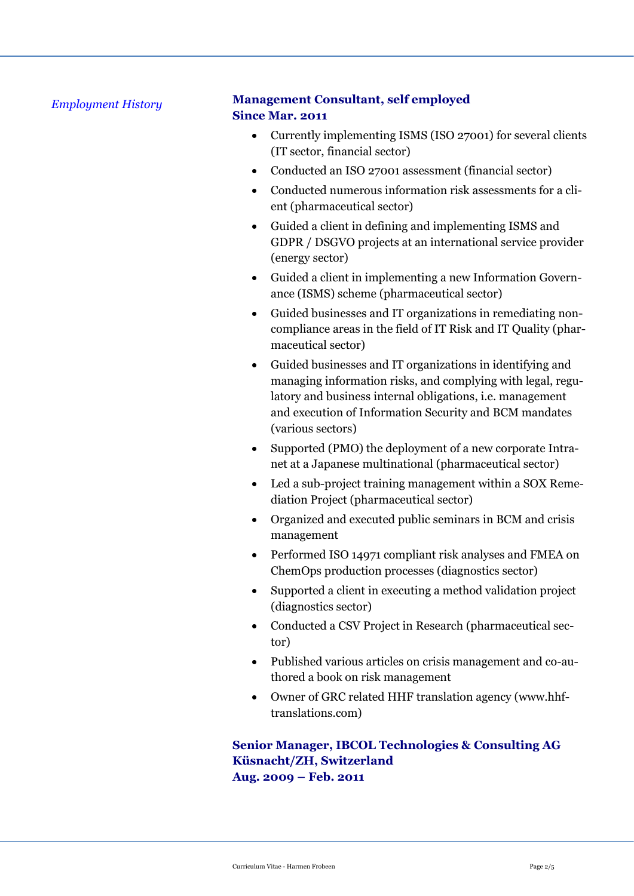#### *Employment History*

## **Management Consultant, self employed Since Mar. 2011**

- Currently implementing ISMS (ISO 27001) for several clients (IT sector, financial sector)
- Conducted an ISO 27001 assessment (financial sector)
- Conducted numerous information risk assessments for a client (pharmaceutical sector)
- Guided a client in defining and implementing ISMS and GDPR / DSGVO projects at an international service provider (energy sector)
- Guided a client in implementing a new Information Governance (ISMS) scheme (pharmaceutical sector)
- Guided businesses and IT organizations in remediating noncompliance areas in the field of IT Risk and IT Quality (pharmaceutical sector)
- Guided businesses and IT organizations in identifying and managing information risks, and complying with legal, regulatory and business internal obligations, i.e. management and execution of Information Security and BCM mandates (various sectors)
- Supported (PMO) the deployment of a new corporate Intranet at a Japanese multinational (pharmaceutical sector)
- Led a sub-project training management within a SOX Remediation Project (pharmaceutical sector)
- Organized and executed public seminars in BCM and crisis management
- Performed ISO 14971 compliant risk analyses and FMEA on ChemOps production processes (diagnostics sector)
- Supported a client in executing a method validation project (diagnostics sector)
- Conducted a CSV Project in Research (pharmaceutical sector)
- Published various articles on crisis management and co-authored a book on risk management
- Owner of GRC related HHF translation agency (www.hhftranslations.com)

## **Senior Manager, IBCOL Technologies & Consulting AG Küsnacht/ZH, Switzerland Aug. 2009 – Feb. 2011**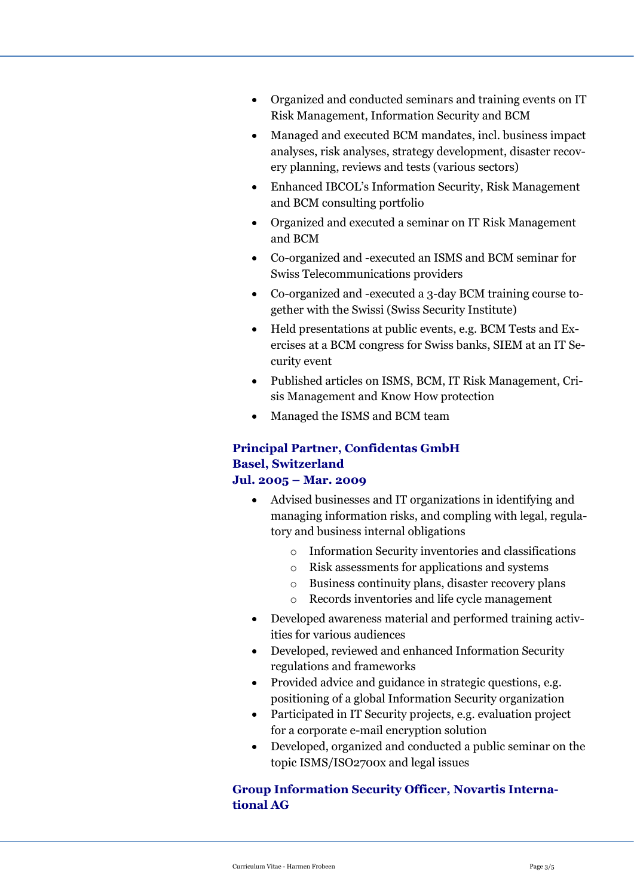- Organized and conducted seminars and training events on IT Risk Management, Information Security and BCM
- Managed and executed BCM mandates, incl. business impact analyses, risk analyses, strategy development, disaster recovery planning, reviews and tests (various sectors)
- Enhanced IBCOL's Information Security, Risk Management and BCM consulting portfolio
- Organized and executed a seminar on IT Risk Management and BCM
- Co-organized and -executed an ISMS and BCM seminar for Swiss Telecommunications providers
- Co-organized and -executed a 3-day BCM training course together with the Swissi (Swiss Security Institute)
- Held presentations at public events, e.g. BCM Tests and Exercises at a BCM congress for Swiss banks, SIEM at an IT Security event
- Published articles on ISMS, BCM, IT Risk Management, Crisis Management and Know How protection
- Managed the ISMS and BCM team

## **Principal Partner, Confidentas GmbH Basel, Switzerland**

## **Jul. 2005 – Mar. 2009**

- Advised businesses and IT organizations in identifying and managing information risks, and compling with legal, regulatory and business internal obligations
	- o Information Security inventories and classifications
	- o Risk assessments for applications and systems
	- o Business continuity plans, disaster recovery plans
	- o Records inventories and life cycle management
- Developed awareness material and performed training activities for various audiences
- Developed, reviewed and enhanced Information Security regulations and frameworks
- Provided advice and guidance in strategic questions, e.g. positioning of a global Information Security organization
- Participated in IT Security projects, e.g. evaluation project for a corporate e-mail encryption solution
- Developed, organized and conducted a public seminar on the topic ISMS/ISO2700x and legal issues

## **Group Information Security Officer, Novartis International AG**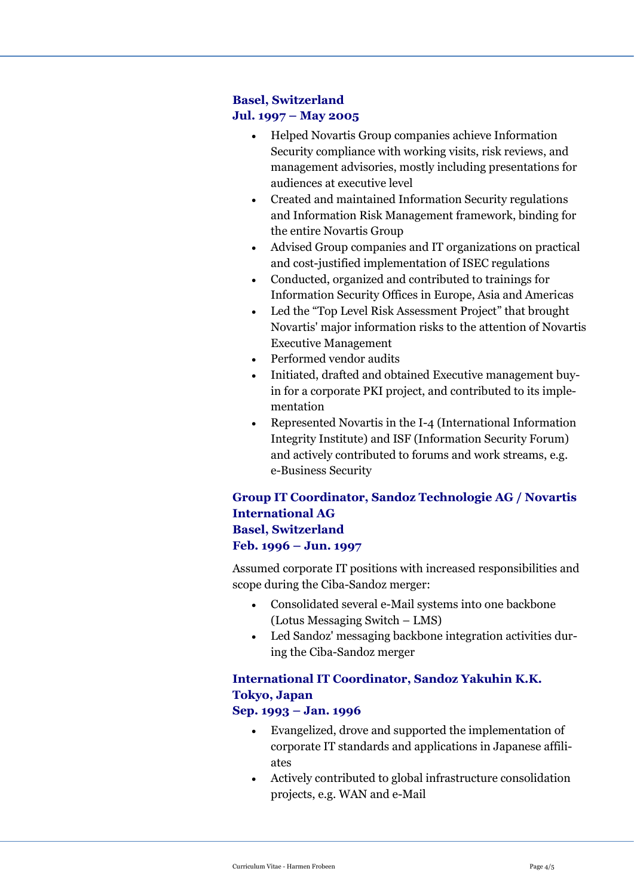## **Basel, Switzerland Jul. 1997 – May 2005**

- Helped Novartis Group companies achieve Information Security compliance with working visits, risk reviews, and management advisories, mostly including presentations for audiences at executive level
- Created and maintained Information Security regulations and Information Risk Management framework, binding for the entire Novartis Group
- Advised Group companies and IT organizations on practical and cost-justified implementation of ISEC regulations
- Conducted, organized and contributed to trainings for Information Security Offices in Europe, Asia and Americas
- Led the "Top Level Risk Assessment Project" that brought Novartis' major information risks to the attention of Novartis Executive Management
- Performed vendor audits
- Initiated, drafted and obtained Executive management buyin for a corporate PKI project, and contributed to its implementation
- Represented Novartis in the I-4 (International Information Integrity Institute) and ISF (Information Security Forum) and actively contributed to forums and work streams, e.g. e-Business Security

## **Group IT Coordinator, Sandoz Technologie AG / Novartis International AG Basel, Switzerland Feb. 1996 – Jun. 1997**

Assumed corporate IT positions with increased responsibilities and scope during the Ciba-Sandoz merger:

- Consolidated several e-Mail systems into one backbone (Lotus Messaging Switch – LMS)
- Led Sandoz' messaging backbone integration activities during the Ciba-Sandoz merger

## **International IT Coordinator, Sandoz Yakuhin K.K. Tokyo, Japan**

## **Sep. 1993 – Jan. 1996**

- Evangelized, drove and supported the implementation of corporate IT standards and applications in Japanese affiliates
- Actively contributed to global infrastructure consolidation projects, e.g. WAN and e-Mail